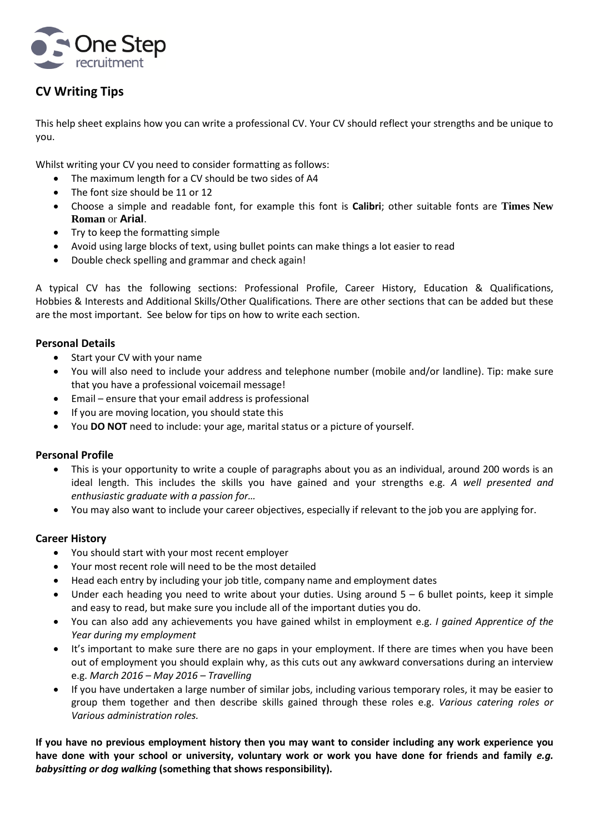

# **CV Writing Tips**

This help sheet explains how you can write a professional CV. Your CV should reflect your strengths and be unique to you.

Whilst writing your CV you need to consider formatting as follows:

- The maximum length for a CV should be two sides of A4
- The font size should be 11 or 12
- Choose a simple and readable font, for example this font is **Calibri**; other suitable fonts are **Times New Roman** or **Arial**.
- Try to keep the formatting simple
- Avoid using large blocks of text, using bullet points can make things a lot easier to read
- Double check spelling and grammar and check again!

A typical CV has the following sections: Professional Profile, Career History, Education & Qualifications, Hobbies & Interests and Additional Skills/Other Qualifications*.* There are other sections that can be added but these are the most important. See below for tips on how to write each section.

## **Personal Details**

- Start your CV with your name
- You will also need to include your address and telephone number (mobile and/or landline). Tip: make sure that you have a professional voicemail message!
- Email ensure that your email address is professional
- If you are moving location, you should state this
- You **DO NOT** need to include: your age, marital status or a picture of yourself.

#### **Personal Profile**

- This is your opportunity to write a couple of paragraphs about you as an individual, around 200 words is an ideal length. This includes the skills you have gained and your strengths e.g. *A well presented and enthusiastic graduate with a passion for…*
- You may also want to include your career objectives, especially if relevant to the job you are applying for.

#### **Career History**

- You should start with your most recent employer
- Your most recent role will need to be the most detailed
- Head each entry by including your job title, company name and employment dates
- $\bullet$  Under each heading you need to write about your duties. Using around  $5 6$  bullet points, keep it simple and easy to read, but make sure you include all of the important duties you do.
- You can also add any achievements you have gained whilst in employment e.g. *I gained Apprentice of the Year during my employment*
- It's important to make sure there are no gaps in your employment. If there are times when you have been out of employment you should explain why, as this cuts out any awkward conversations during an interview e.g. *March 2016 – May 2016 – Travelling*
- If you have undertaken a large number of similar jobs, including various temporary roles, it may be easier to group them together and then describe skills gained through these roles e.g. *Various catering roles or Various administration roles.*

**If you have no previous employment history then you may want to consider including any work experience you have done with your school or university, voluntary work or work you have done for friends and family** *e.g. babysitting or dog walking* **(something that shows responsibility).**